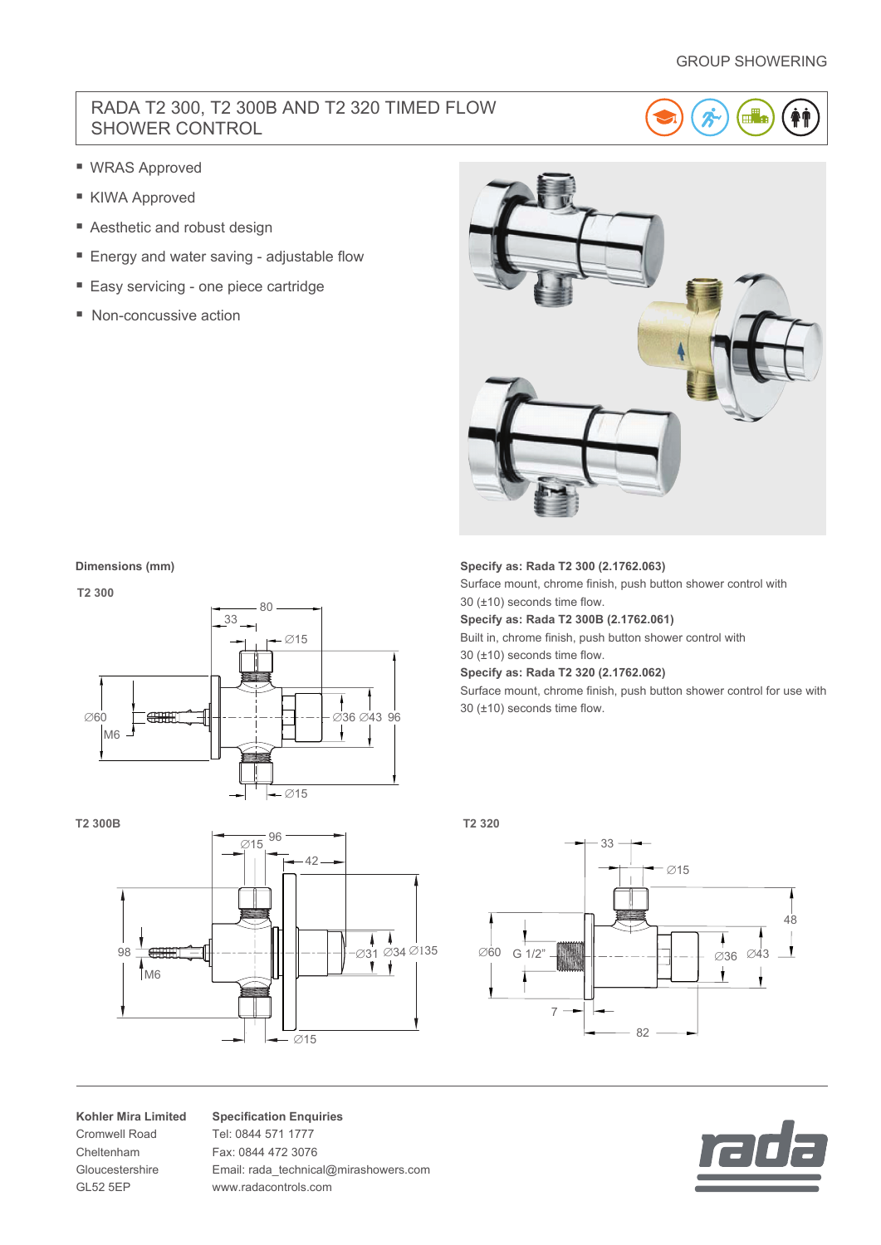## GROUP SHOWERING

## RADA T2 300, T2 300B AND T2 320 TIMED FLOW SHOWER CONTROL



- WRAS Approved
- KIWA Approved
- Aesthetic and robust design
- Energy and water saving adjustable flow
- Easy servicing one piece cartridge
- Non-concussive action



#### **Dimensions (mm)**



**T2 300B**



**Kohler Mira Limited** Cromwell Road Cheltenham Gloucestershire GL52 5EP

**Specification Enquiries** Tel: 0844 571 1777 Fax: 0844 472 3076 Email: rada\_technical@mirashowers.com www.radacontrols.com

## **Specify as: Rada T2 300 (2.1762.063)**

Surface mount, chrome finish, push button shower control with 30 (±10) seconds time flow.

**Specify as: Rada T2 300B (2.1762.061)**

Built in, chrome finish, push button shower control with 30 (±10) seconds time flow.

**Specify as: Rada T2 320 (2.1762.062)**

Surface mount, chrome finish, push button shower control for use with 30 (±10) seconds time flow.

**T2 320**